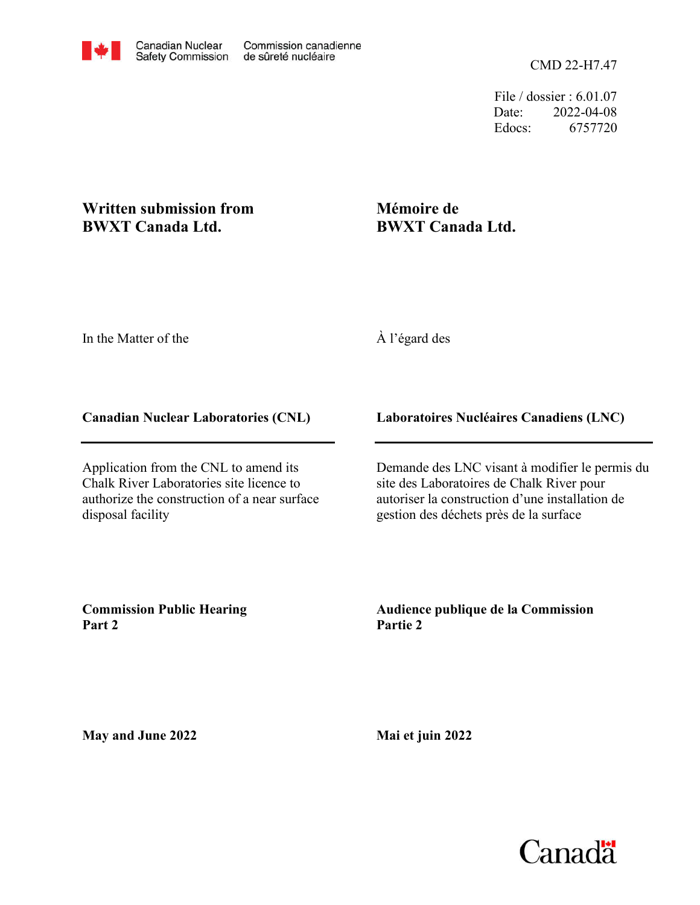File / dossier : 6.01.07 Date: 2022-04-08 Edocs: 6757720

# **Written submission from BWXT Canada Ltd.**

# **Mémoire de BWXT Canada Ltd.**

In the Matter of the

## À l'égard des

## **Canadian Nuclear Laboratories (CNL)**

Application from the CNL to amend its Chalk River Laboratories site licence to authorize the construction of a near surface disposal facility

## **Laboratoires Nucléaires Canadiens (LNC)**

Demande des LNC visant à modifier le permis du site des Laboratoires de Chalk River pour autoriser la construction d'une installation de gestion des déchets près de la surface

**Commission Public Hearing Part 2**

**Audience publique de la Commission Partie 2**

**May and June 2022**

**Mai et juin 2022**

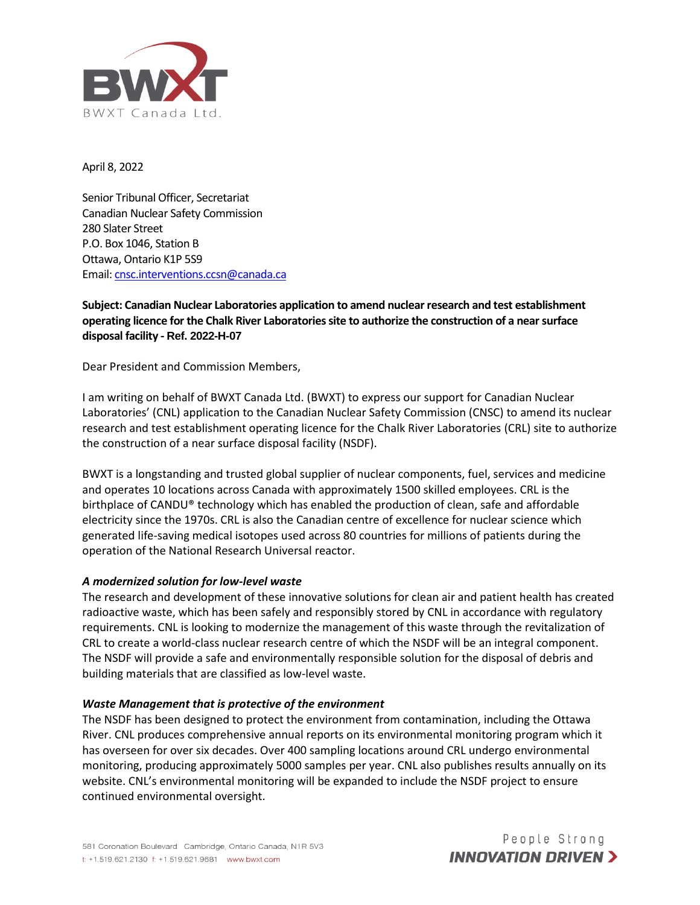

April 8, 2022

Senior Tribunal Officer, Secretariat Canadian Nuclear Safety Commission 280 Slater Street P.O. Box 1046, Station B Ottawa, Ontario K1P 5S9 Email[: cnsc.interventions.ccsn@canada.ca](mailto:cnsc.interventions.ccsn@canada.ca)

## **Subject: Canadian Nuclear Laboratories application to amend nuclear research and test establishment operating licence for the Chalk River Laboratories site to authorize the construction of a near surface disposal facility - Ref. 2022-H-07**

Dear President and Commission Members,

I am writing on behalf of BWXT Canada Ltd. (BWXT) to express our support for Canadian Nuclear Laboratories' (CNL) application to the Canadian Nuclear Safety Commission (CNSC) to amend its nuclear research and test establishment operating licence for the Chalk River Laboratories (CRL) site to authorize the construction of a near surface disposal facility (NSDF).

BWXT is a longstanding and trusted global supplier of nuclear components, fuel, services and medicine and operates 10 locations across Canada with approximately 1500 skilled employees. CRL is the birthplace of CANDU® technology which has enabled the production of clean, safe and affordable electricity since the 1970s. CRL is also the Canadian centre of excellence for nuclear science which generated life-saving medical isotopes used across 80 countries for millions of patients during the operation of the National Research Universal reactor.

## *A modernized solution for low-level waste*

The research and development of these innovative solutions for clean air and patient health has created radioactive waste, which has been safely and responsibly stored by CNL in accordance with regulatory requirements. CNL is looking to modernize the management of this waste through the revitalization of CRL to create a world-class nuclear research centre of which the NSDF will be an integral component. The NSDF will provide a safe and environmentally responsible solution for the disposal of debris and building materials that are classified as low-level waste.

### *Waste Management that is protective of the environment*

The NSDF has been designed to protect the environment from contamination, including the Ottawa River. CNL produces comprehensive annual reports on its environmental monitoring program which it has overseen for over six decades. Over 400 sampling locations around CRL undergo environmental monitoring, producing approximately 5000 samples per year. CNL also publishes results annually on its website. CNL's environmental monitoring will be expanded to include the NSDF project to ensure continued environmental oversight.